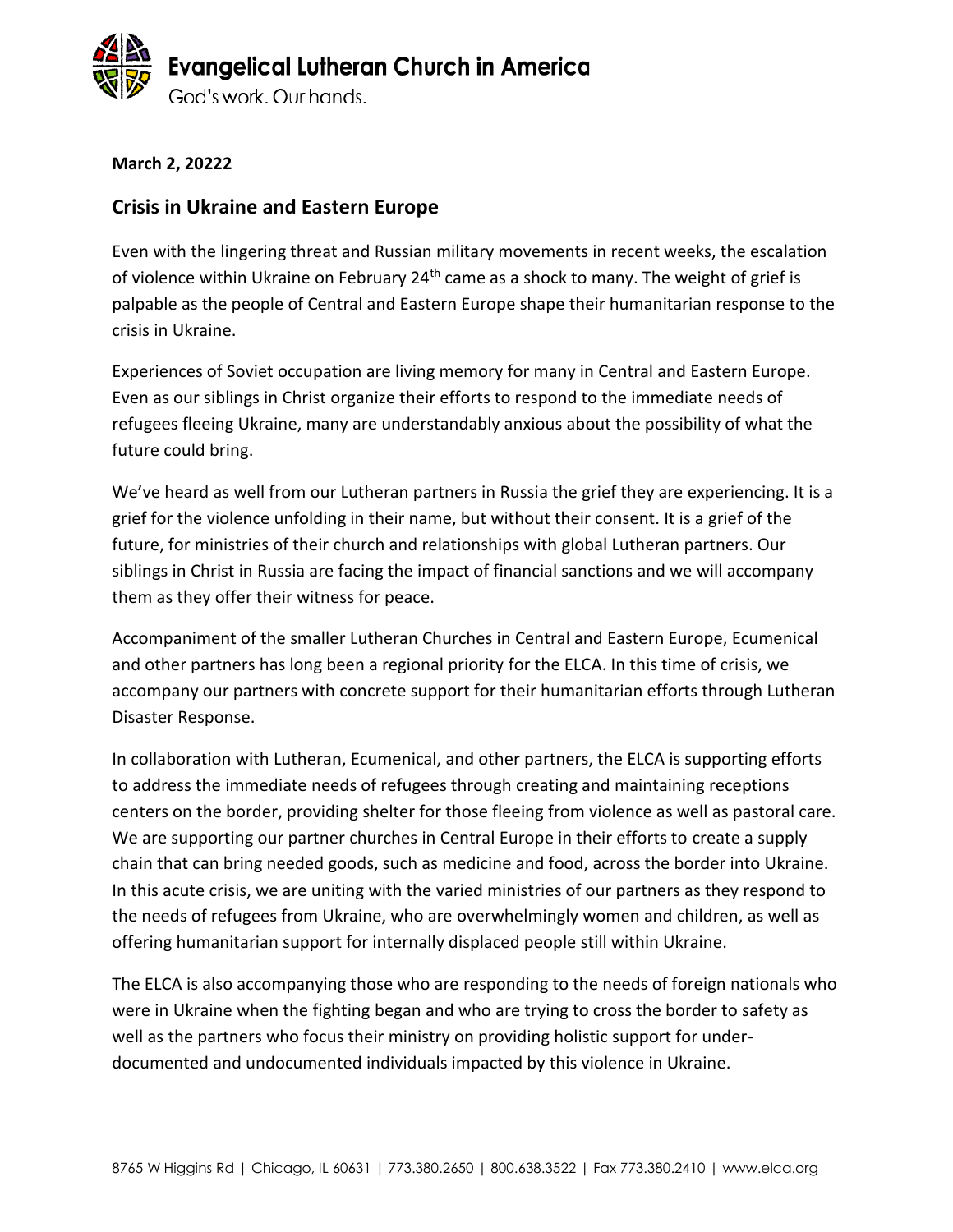

**March 2, 20222**

#### **Crisis in Ukraine and Eastern Europe**

Even with the lingering threat and Russian military movements in recent weeks, the escalation of violence within Ukraine on February  $24<sup>th</sup>$  came as a shock to many. The weight of grief is palpable as the people of Central and Eastern Europe shape their humanitarian response to the crisis in Ukraine.

Experiences of Soviet occupation are living memory for many in Central and Eastern Europe. Even as our siblings in Christ organize their efforts to respond to the immediate needs of refugees fleeing Ukraine, many are understandably anxious about the possibility of what the future could bring.

We've heard as well from our Lutheran partners in Russia the grief they are experiencing. It is a grief for the violence unfolding in their name, but without their consent. It is a grief of the future, for ministries of their church and relationships with global Lutheran partners. Our siblings in Christ in Russia are facing the impact of financial sanctions and we will accompany them as they offer their witness for peace.

Accompaniment of the smaller Lutheran Churches in Central and Eastern Europe, Ecumenical and other partners has long been a regional priority for the ELCA. In this time of crisis, we accompany our partners with concrete support for their humanitarian efforts through Lutheran Disaster Response.

In collaboration with Lutheran, Ecumenical, and other partners, the ELCA is supporting efforts to address the immediate needs of refugees through creating and maintaining receptions centers on the border, providing shelter for those fleeing from violence as well as pastoral care. We are supporting our partner churches in Central Europe in their efforts to create a supply chain that can bring needed goods, such as medicine and food, across the border into Ukraine. In this acute crisis, we are uniting with the varied ministries of our partners as they respond to the needs of refugees from Ukraine, who are overwhelmingly women and children, as well as offering humanitarian support for internally displaced people still within Ukraine.

The ELCA is also accompanying those who are responding to the needs of foreign nationals who were in Ukraine when the fighting began and who are trying to cross the border to safety as well as the partners who focus their ministry on providing holistic support for underdocumented and undocumented individuals impacted by this violence in Ukraine.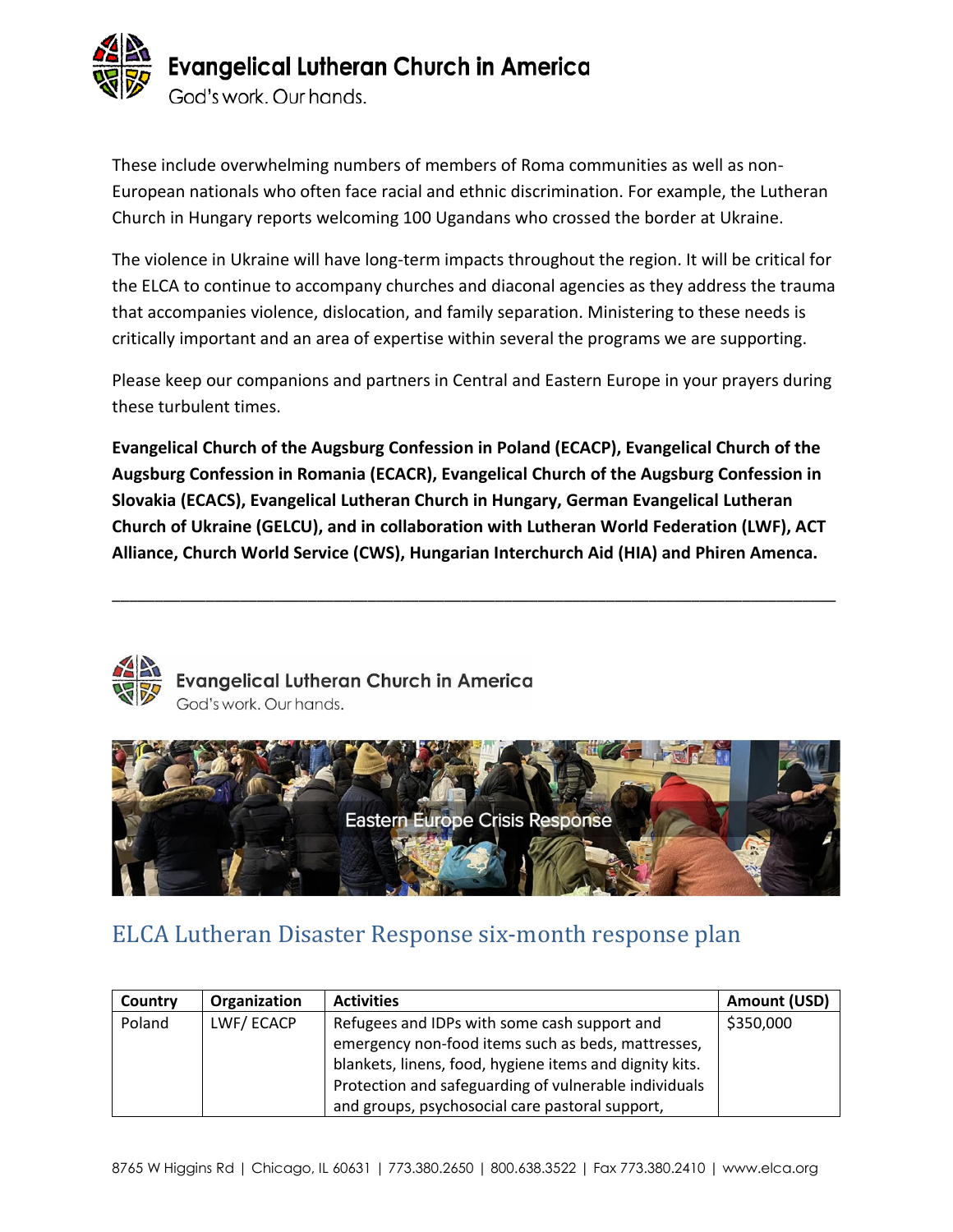

These include overwhelming numbers of members of Roma communities as well as non-European nationals who often face racial and ethnic discrimination. For example, the Lutheran Church in Hungary reports welcoming 100 Ugandans who crossed the border at Ukraine.

The violence in Ukraine will have long-term impacts throughout the region. It will be critical for the ELCA to continue to accompany churches and diaconal agencies as they address the trauma that accompanies violence, dislocation, and family separation. Ministering to these needs is critically important and an area of expertise within several the programs we are supporting.

Please keep our companions and partners in Central and Eastern Europe in your prayers during these turbulent times.

**Evangelical Church of the Augsburg Confession in Poland (ECACP), Evangelical Church of the Augsburg Confession in Romania (ECACR), Evangelical Church of the Augsburg Confession in Slovakia (ECACS), Evangelical Lutheran Church in Hungary, German Evangelical Lutheran Church of Ukraine (GELCU), and in collaboration with Lutheran World Federation (LWF), ACT Alliance, Church World Service (CWS), Hungarian Interchurch Aid (HIA) and Phiren Amenca.** 

\_\_\_\_\_\_\_\_\_\_\_\_\_\_\_\_\_\_\_\_\_\_\_\_\_\_\_\_\_\_\_\_\_\_\_\_\_\_\_\_\_\_\_\_\_\_\_\_\_\_\_\_\_\_\_\_\_\_\_\_\_\_\_\_\_\_\_\_\_\_\_\_\_\_\_\_\_\_\_\_\_\_\_\_\_



Evangelical Lutheran Church in America God's work. Our hands.



### ELCA Lutheran Disaster Response six-month response plan

| Country | Organization | <b>Activities</b>                                       | <b>Amount (USD)</b> |
|---------|--------------|---------------------------------------------------------|---------------------|
| Poland  | LWF/ECACP    | Refugees and IDPs with some cash support and            | \$350,000           |
|         |              | emergency non-food items such as beds, mattresses,      |                     |
|         |              | blankets, linens, food, hygiene items and dignity kits. |                     |
|         |              | Protection and safeguarding of vulnerable individuals   |                     |
|         |              | and groups, psychosocial care pastoral support,         |                     |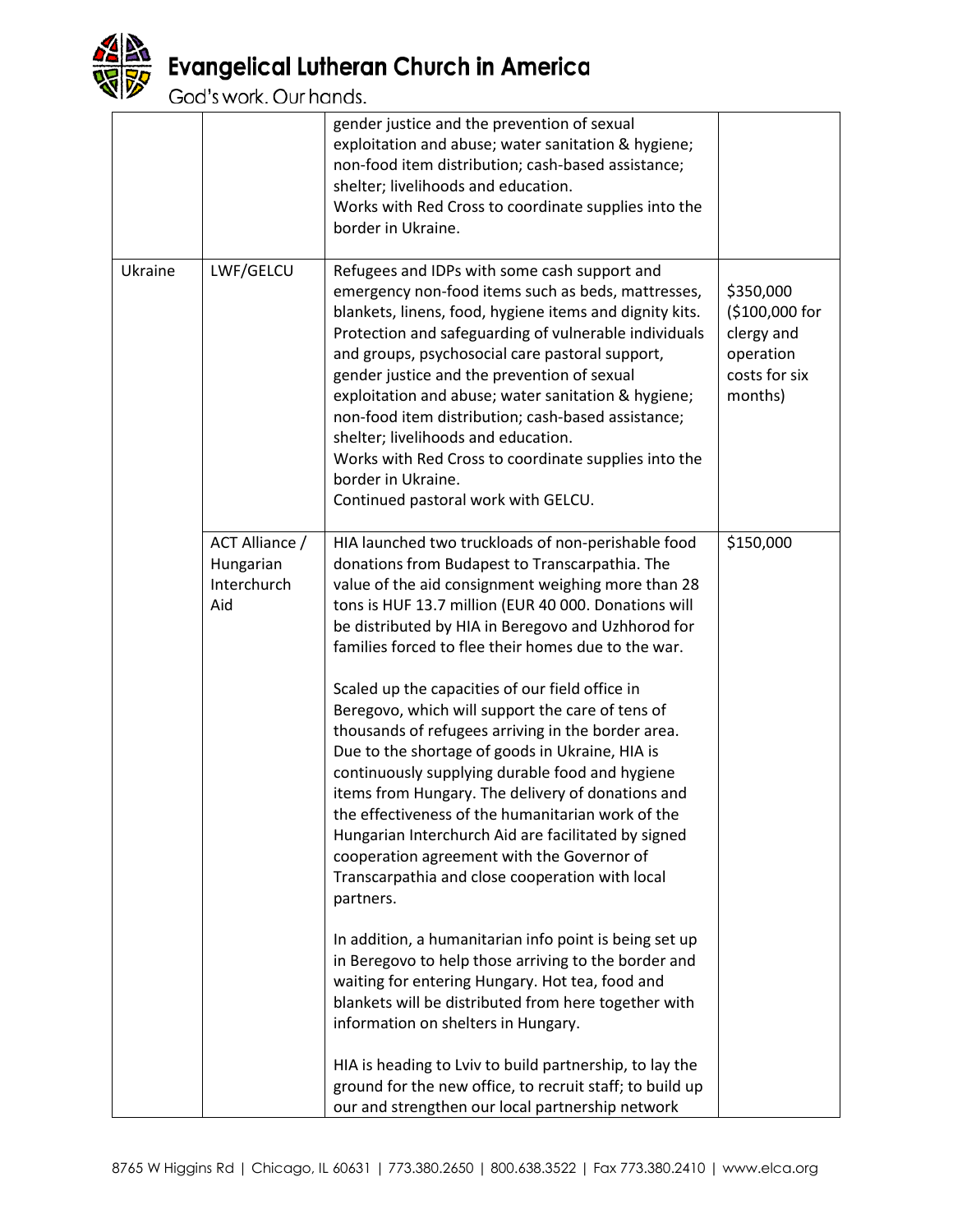

# **Evangelical Lutheran Church in America**<br>God's work. Our hands.

|         |                                                   | gender justice and the prevention of sexual<br>exploitation and abuse; water sanitation & hygiene;<br>non-food item distribution; cash-based assistance;<br>shelter; livelihoods and education.<br>Works with Red Cross to coordinate supplies into the<br>border in Ukraine.                                                                                                                                                                                                                                                                                                                                                                                                                                                                                                                                                                                                                                                                                                                                                                                                                                                                         |                                                                                    |
|---------|---------------------------------------------------|-------------------------------------------------------------------------------------------------------------------------------------------------------------------------------------------------------------------------------------------------------------------------------------------------------------------------------------------------------------------------------------------------------------------------------------------------------------------------------------------------------------------------------------------------------------------------------------------------------------------------------------------------------------------------------------------------------------------------------------------------------------------------------------------------------------------------------------------------------------------------------------------------------------------------------------------------------------------------------------------------------------------------------------------------------------------------------------------------------------------------------------------------------|------------------------------------------------------------------------------------|
| Ukraine | LWF/GELCU                                         | Refugees and IDPs with some cash support and<br>emergency non-food items such as beds, mattresses,<br>blankets, linens, food, hygiene items and dignity kits.<br>Protection and safeguarding of vulnerable individuals<br>and groups, psychosocial care pastoral support,<br>gender justice and the prevention of sexual<br>exploitation and abuse; water sanitation & hygiene;<br>non-food item distribution; cash-based assistance;<br>shelter; livelihoods and education.<br>Works with Red Cross to coordinate supplies into the<br>border in Ukraine.<br>Continued pastoral work with GELCU.                                                                                                                                                                                                                                                                                                                                                                                                                                                                                                                                                     | \$350,000<br>(\$100,000 for<br>clergy and<br>operation<br>costs for six<br>months) |
|         | ACT Alliance /<br>Hungarian<br>Interchurch<br>Aid | HIA launched two truckloads of non-perishable food<br>donations from Budapest to Transcarpathia. The<br>value of the aid consignment weighing more than 28<br>tons is HUF 13.7 million (EUR 40 000. Donations will<br>be distributed by HIA in Beregovo and Uzhhorod for<br>families forced to flee their homes due to the war.<br>Scaled up the capacities of our field office in<br>Beregovo, which will support the care of tens of<br>thousands of refugees arriving in the border area.<br>Due to the shortage of goods in Ukraine, HIA is<br>continuously supplying durable food and hygiene<br>items from Hungary. The delivery of donations and<br>the effectiveness of the humanitarian work of the<br>Hungarian Interchurch Aid are facilitated by signed<br>cooperation agreement with the Governor of<br>Transcarpathia and close cooperation with local<br>partners.<br>In addition, a humanitarian info point is being set up<br>in Beregovo to help those arriving to the border and<br>waiting for entering Hungary. Hot tea, food and<br>blankets will be distributed from here together with<br>information on shelters in Hungary. | \$150,000                                                                          |
|         |                                                   | HIA is heading to Lviv to build partnership, to lay the<br>ground for the new office, to recruit staff; to build up<br>our and strengthen our local partnership network                                                                                                                                                                                                                                                                                                                                                                                                                                                                                                                                                                                                                                                                                                                                                                                                                                                                                                                                                                               |                                                                                    |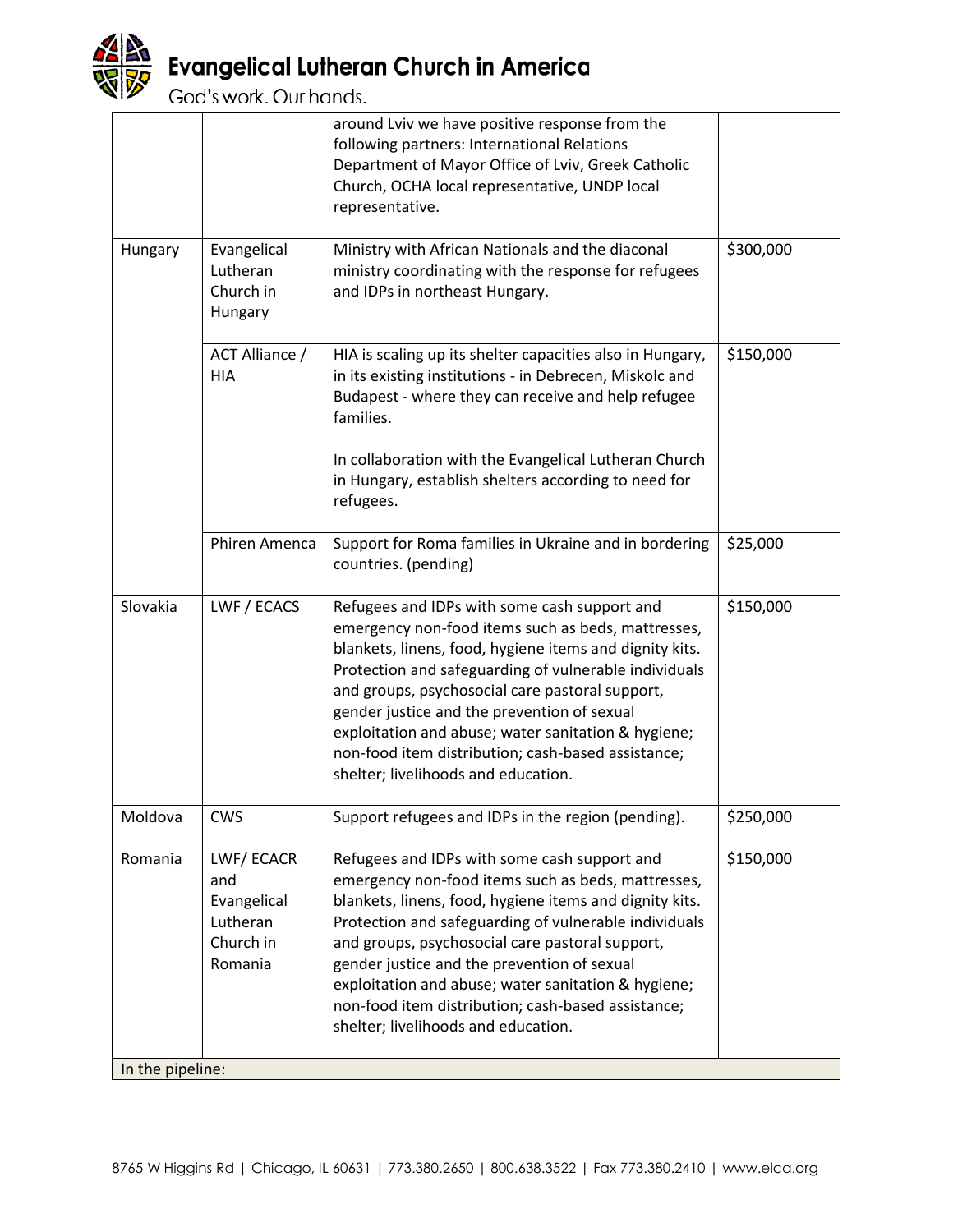

# **Evangelical Lutheran Church in America**<br>God's work. Our hands.

|                  |                                                                     | around Lviv we have positive response from the<br>following partners: International Relations<br>Department of Mayor Office of Lviv, Greek Catholic<br>Church, OCHA local representative, UNDP local<br>representative.                                                                                                                                                                                                                                                      |           |  |
|------------------|---------------------------------------------------------------------|------------------------------------------------------------------------------------------------------------------------------------------------------------------------------------------------------------------------------------------------------------------------------------------------------------------------------------------------------------------------------------------------------------------------------------------------------------------------------|-----------|--|
| Hungary          | Evangelical<br>Lutheran<br>Church in<br>Hungary                     | Ministry with African Nationals and the diaconal<br>ministry coordinating with the response for refugees<br>and IDPs in northeast Hungary.                                                                                                                                                                                                                                                                                                                                   | \$300,000 |  |
|                  | ACT Alliance /<br><b>HIA</b>                                        | HIA is scaling up its shelter capacities also in Hungary,<br>in its existing institutions - in Debrecen, Miskolc and<br>Budapest - where they can receive and help refugee<br>families.                                                                                                                                                                                                                                                                                      | \$150,000 |  |
|                  |                                                                     | In collaboration with the Evangelical Lutheran Church<br>in Hungary, establish shelters according to need for<br>refugees.                                                                                                                                                                                                                                                                                                                                                   |           |  |
|                  | Phiren Amenca                                                       | Support for Roma families in Ukraine and in bordering<br>countries. (pending)                                                                                                                                                                                                                                                                                                                                                                                                | \$25,000  |  |
| Slovakia         | LWF / ECACS                                                         | Refugees and IDPs with some cash support and<br>emergency non-food items such as beds, mattresses,<br>blankets, linens, food, hygiene items and dignity kits.<br>Protection and safeguarding of vulnerable individuals<br>and groups, psychosocial care pastoral support,<br>gender justice and the prevention of sexual<br>exploitation and abuse; water sanitation & hygiene;<br>non-food item distribution; cash-based assistance;<br>shelter; livelihoods and education. | \$150,000 |  |
| Moldova          | <b>CWS</b>                                                          | Support refugees and IDPs in the region (pending).                                                                                                                                                                                                                                                                                                                                                                                                                           | \$250,000 |  |
| Romania          | LWF/ECACR<br>and<br>Evangelical<br>Lutheran<br>Church in<br>Romania | Refugees and IDPs with some cash support and<br>emergency non-food items such as beds, mattresses,<br>blankets, linens, food, hygiene items and dignity kits.<br>Protection and safeguarding of vulnerable individuals<br>and groups, psychosocial care pastoral support,<br>gender justice and the prevention of sexual<br>exploitation and abuse; water sanitation & hygiene;<br>non-food item distribution; cash-based assistance;<br>shelter; livelihoods and education. | \$150,000 |  |
| In the pipeline: |                                                                     |                                                                                                                                                                                                                                                                                                                                                                                                                                                                              |           |  |